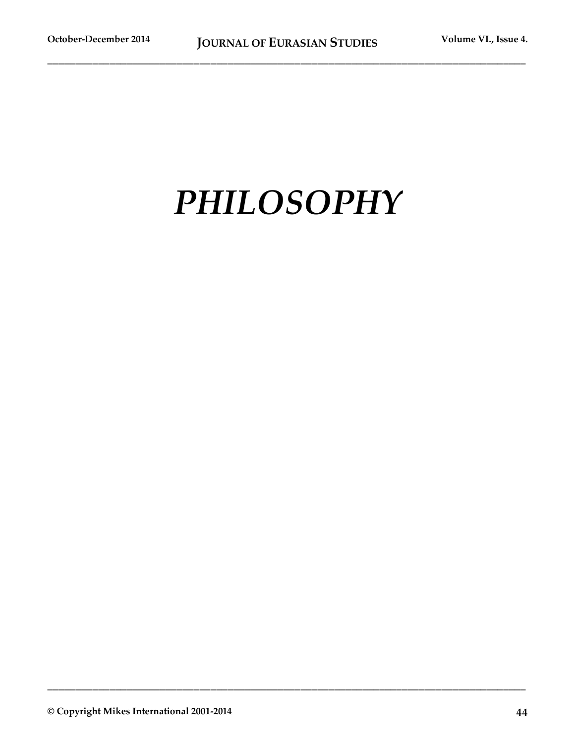# *PHILOSOPHY*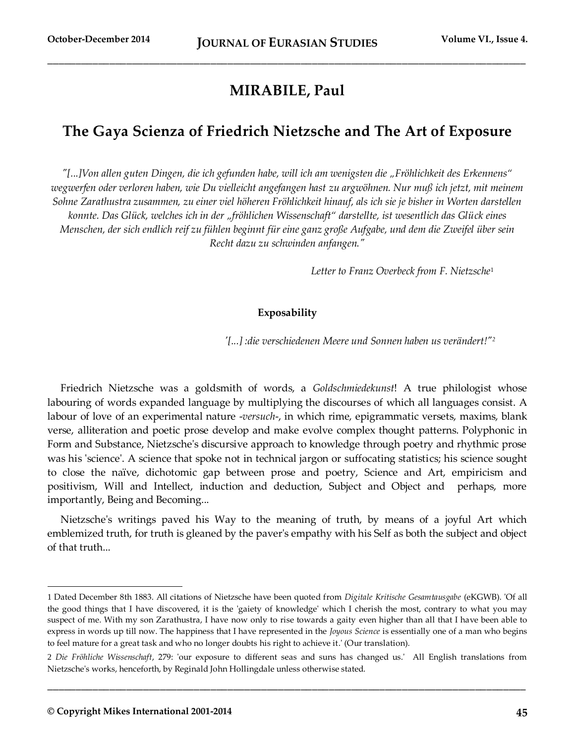## **MIRABILE, Paul**

## **The Gaya Scienza of Friedrich Nietzsche and The Art of Exposure**

*"[...]Von allen guten Dingen, die ich gefunden habe, will ich am wenigsten die "Fröhlichkeit des Erkennens" wegwerfen oder verloren haben, wie Du vielleicht angefangen hast zu argwöhnen. Nur muß ich jetzt, mit meinem Sohne Zarathustra zusammen, zu einer viel höheren Fröhlichkeit hinauf, als ich sie je bisher in Worten darstellen konnte. Das Glück, welches ich in der "fröhlichen Wissenschaft" darstellte, ist wesentlich das Glück eines Menschen, der sich endlich reif zu fühlen beginnt für eine ganz große Aufgabe, und dem die Zweifel über sein Recht dazu zu schwinden anfangen."* 

*Letter to Franz Overbeck from F. Nietzsche*<sup>1</sup>

#### **Exposability**

*'[...] :die verschiedenen Meere und Sonnen haben us verändert!"<sup>2</sup>*

Friedrich Nietzsche was a goldsmith of words, a *Goldschmiedekunst*! A true philologist whose labouring of words expanded language by multiplying the discourses of which all languages consist. A labour of love of an experimental nature -*versuch*-, in which rime, epigrammatic versets, maxims, blank verse, alliteration and poetic prose develop and make evolve complex thought patterns. Polyphonic in Form and Substance, Nietzsche's discursive approach to knowledge through poetry and rhythmic prose was his 'science'. A science that spoke not in technical jargon or suffocating statistics; his science sought to close the naïve, dichotomic gap between prose and poetry, Science and Art, empiricism and positivism, Will and Intellect, induction and deduction, Subject and Object and perhaps, more importantly, Being and Becoming...

Nietzsche's writings paved his Way to the meaning of truth, by means of a joyful Art which emblemized truth, for truth is gleaned by the paver's empathy with his Self as both the subject and object of that truth...

**\_\_\_\_\_\_\_\_\_\_\_\_\_\_\_\_\_\_\_\_\_\_\_\_\_\_\_\_\_\_\_\_\_\_\_\_\_\_\_\_\_\_\_\_\_\_\_\_\_\_\_\_\_\_\_\_\_\_\_\_\_\_\_\_\_\_\_\_\_\_\_\_\_\_\_\_\_\_\_\_\_\_\_\_\_**

<sup>1</sup> Dated December 8th 1883. All citations of Nietzsche have been quoted from *Digitale Kritische Gesamtausgabe* (eKGWB). 'Of all the good things that I have discovered, it is the 'gaiety of knowledge' which I cherish the most, contrary to what you may suspect of me. With my son Zarathustra, I have now only to rise towards a gaity even higher than all that I have been able to express in words up till now. The happiness that I have represented in the *Joyous Science* is essentially one of a man who begins to feel mature for a great task and who no longer doubts his right to achieve it.' (Our translation).

<sup>2</sup> *Die Fröhliche Wissenschaft*, 279: 'our exposure to different seas and suns has changed us.' All English translations from Nietzsche's works, henceforth, by Reginald John Hollingdale unless otherwise stated.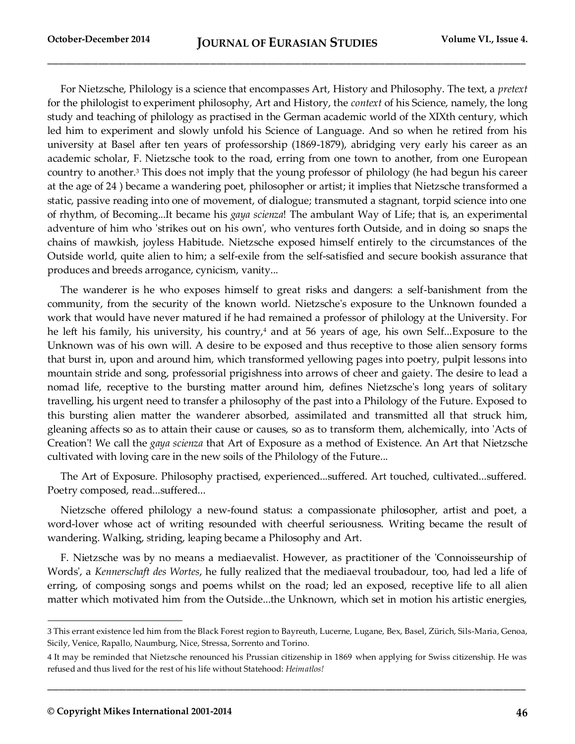For Nietzsche, Philology is a science that encompasses Art, History and Philosophy. The text, a *pretext*  for the philologist to experiment philosophy, Art and History, the *context* of his Science, namely, the long study and teaching of philology as practised in the German academic world of the XIXth century, which led him to experiment and slowly unfold his Science of Language. And so when he retired from his university at Basel after ten years of professorship (1869-1879), abridging very early his career as an academic scholar, F. Nietzsche took to the road, erring from one town to another, from one European country to another.<sup>3</sup> This does not imply that the young professor of philology (he had begun his career at the age of 24 ) became a wandering poet, philosopher or artist; it implies that Nietzsche transformed a static, passive reading into one of movement, of dialogue; transmuted a stagnant, torpid science into one of rhythm, of Becoming...It became his *gaya scienza*! The ambulant Way of Life; that is, an experimental adventure of him who 'strikes out on his own', who ventures forth Outside, and in doing so snaps the chains of mawkish, joyless Habitude. Nietzsche exposed himself entirely to the circumstances of the Outside world, quite alien to him; a self-exile from the self-satisfied and secure bookish assurance that produces and breeds arrogance, cynicism, vanity...

The wanderer is he who exposes himself to great risks and dangers: a self-banishment from the community, from the security of the known world. Nietzsche's exposure to the Unknown founded a work that would have never matured if he had remained a professor of philology at the University. For he left his family, his university, his country,<sup>4</sup> and at 56 years of age, his own Self...Exposure to the Unknown was of his own will. A desire to be exposed and thus receptive to those alien sensory forms that burst in, upon and around him, which transformed yellowing pages into poetry, pulpit lessons into mountain stride and song, professorial prigishness into arrows of cheer and gaiety. The desire to lead a nomad life, receptive to the bursting matter around him, defines Nietzsche's long years of solitary travelling, his urgent need to transfer a philosophy of the past into a Philology of the Future. Exposed to this bursting alien matter the wanderer absorbed, assimilated and transmitted all that struck him, gleaning affects so as to attain their cause or causes, so as to transform them, alchemically, into 'Acts of Creation'! We call the *gaya scienza* that Art of Exposure as a method of Existence. An Art that Nietzsche cultivated with loving care in the new soils of the Philology of the Future...

The Art of Exposure. Philosophy practised, experienced...suffered. Art touched, cultivated...suffered. Poetry composed, read...suffered...

Nietzsche offered philology a new-found status: a compassionate philosopher, artist and poet, a word-lover whose act of writing resounded with cheerful seriousness. Writing became the result of wandering. Walking, striding, leaping became a Philosophy and Art.

F. Nietzsche was by no means a mediaevalist. However, as practitioner of the 'Connoisseurship of Words', a *Kennerschaft des Wortes*, he fully realized that the mediaeval troubadour, too, had led a life of erring, of composing songs and poems whilst on the road; led an exposed, receptive life to all alien matter which motivated him from the Outside...the Unknown, which set in motion his artistic energies,

**\_\_\_\_\_\_\_\_\_\_\_\_\_\_\_\_\_\_\_\_\_\_\_\_\_\_\_\_\_\_\_\_\_\_\_\_\_\_\_\_\_\_\_\_\_\_\_\_\_\_\_\_\_\_\_\_\_\_\_\_\_\_\_\_\_\_\_\_\_\_\_\_\_\_\_\_\_\_\_\_\_\_\_\_\_**

<sup>3</sup> This errant existence led him from the Black Forest region to Bayreuth, Lucerne, Lugane, Bex, Basel, Zürich, Sils-Maria, Genoa, Sicily, Venice, Rapallo, Naumburg, Nice, Stressa, Sorrento and Torino.

<sup>4</sup> It may be reminded that Nietzsche renounced his Prussian citizenship in 1869 when applying for Swiss citizenship. He was refused and thus lived for the rest of his life without Statehood: *Heimatlos!*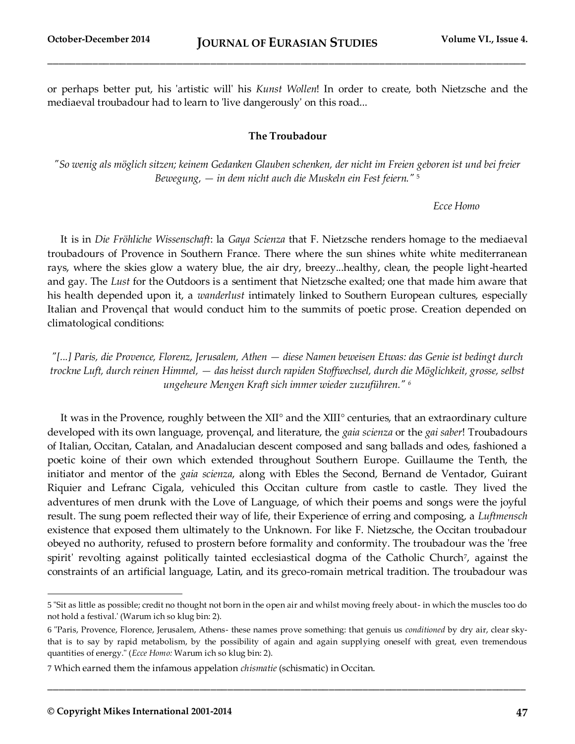or perhaps better put, his 'artistic will' his *Kunst Wollen*! In order to create, both Nietzsche and the mediaeval troubadour had to learn to 'live dangerously' on this road...

#### **The Troubadour**

*"So wenig als möglich sitzen; keinem Gedanken Glauben schenken, der nicht im Freien geboren ist und bei freier Bewegung, — in dem nicht auch die Muskeln ein Fest feiern."* <sup>5</sup>

#### *Ecce Homo*

It is in *Die Fröhliche Wissenschaft*: la *Gaya Scienza* that F. Nietzsche renders homage to the mediaeval troubadours of Provence in Southern France. There where the sun shines white white mediterranean rays, where the skies glow a watery blue, the air dry, breezy...healthy, clean, the people light-hearted and gay. The *Lust* for the Outdoors is a sentiment that Nietzsche exalted; one that made him aware that his health depended upon it, a *wanderlust* intimately linked to Southern European cultures, especially Italian and Provençal that would conduct him to the summits of poetic prose. Creation depended on climatological conditions:

*"[...] Paris, die Provence, Florenz, Jerusalem, Athen — diese Namen beweisen Etwas: das Genie ist bedingt durch trockne Luft, durch reinen Himmel, — das heisst durch rapiden Stoffwechsel, durch die Möglichkeit, grosse, selbst ungeheure Mengen Kraft sich immer wieder zuzuführen." <sup>6</sup>*

It was in the Provence, roughly between the XII° and the XIII° centuries, that an extraordinary culture developed with its own language, provençal, and literature, the *gaia scienza* or the *gai saber*! Troubadours of Italian, Occitan, Catalan, and Anadalucian descent composed and sang ballads and odes, fashioned a poetic koine of their own which extended throughout Southern Europe. Guillaume the Tenth, the initiator and mentor of the *gaia scienza*, along with Ebles the Second, Bernand de Ventador, Guirant Riquier and Lefranc Cigala, vehiculed this Occitan culture from castle to castle. They lived the adventures of men drunk with the Love of Language, of which their poems and songs were the joyful result. The sung poem reflected their way of life, their Experience of erring and composing, a *Luftmensch*  existence that exposed them ultimately to the Unknown. For like F. Nietzsche, the Occitan troubadour obeyed no authority, refused to prostern before formality and conformity. The troubadour was the 'free spirit' revolting against politically tainted ecclesiastical dogma of the Catholic Church<sup>7</sup>, against the constraints of an artificial language, Latin, and its greco-romain metrical tradition. The troubadour was

**\_\_\_\_\_\_\_\_\_\_\_\_\_\_\_\_\_\_\_\_\_\_\_\_\_\_\_\_\_\_\_\_\_\_\_\_\_\_\_\_\_\_\_\_\_\_\_\_\_\_\_\_\_\_\_\_\_\_\_\_\_\_\_\_\_\_\_\_\_\_\_\_\_\_\_\_\_\_\_\_\_\_\_\_\_**

<sup>5</sup> "Sit as little as possible; credit no thought not born in the open air and whilst moving freely about- in which the muscles too do not hold a festival.' (Warum ich so klug bin: 2).

<sup>6</sup> "Paris, Provence, Florence, Jerusalem, Athens- these names prove something: that genuis us *conditioned* by dry air, clear skythat is to say by rapid metabolism, by the possibility of again and again supplying oneself with great, even tremendous quantities of energy." (*Ecce Homo:* Warum ich so klug bin: 2).

<sup>7</sup> Which earned them the infamous appelation *chismatie* (schismatic) in Occitan.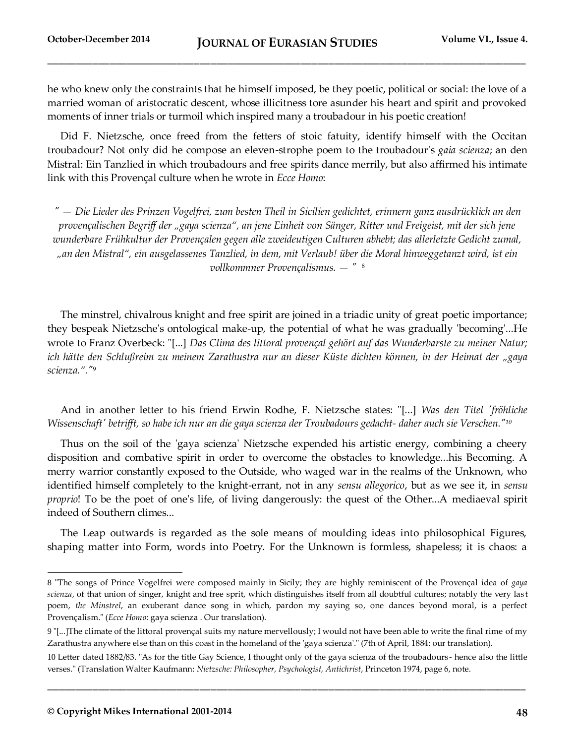he who knew only the constraints that he himself imposed, be they poetic, political or social: the love of a married woman of aristocratic descent, whose illicitness tore asunder his heart and spirit and provoked moments of inner trials or turmoil which inspired many a troubadour in his poetic creation!

Did F. Nietzsche, once freed from the fetters of stoic fatuity, identify himself with the Occitan troubadour? Not only did he compose an eleven-strophe poem to the troubadour's *gaia scienza*; an den Mistral: Ein Tanzlied in which troubadours and free spirits dance merrily, but also affirmed his intimate link with this Provençal culture when he wrote in *Ecce Homo*:

*" — Die Lieder des Prinzen Vogelfrei, zum besten Theil in Sicilien gedichtet, erinnern ganz ausdrücklich an den provençalischen Begriff der "gaya scienza", an jene Einheit von Sänger, Ritter und Freigeist, mit der sich jene wunderbare Frühkultur der Provençalen gegen alle zweideutigen Culturen abhebt; das allerletzte Gedicht zumal, "an den Mistral", ein ausgelassenes Tanzlied, in dem, mit Verlaub! über die Moral hinweggetanzt wird, ist ein vollkommner Provençalismus. — "* <sup>8</sup>

The minstrel, chivalrous knight and free spirit are joined in a triadic unity of great poetic importance; they bespeak Nietzsche's ontological make-up, the potential of what he was gradually 'becoming'...He wrote to Franz Overbeck: "[...] *Das Clima des littoral provençal gehört auf das Wunderbarste zu meiner Natur; ich hätte den Schlußreim zu meinem Zarathustra nur an dieser Küste dichten können, in der Heimat der "gaya scienza."."*<sup>9</sup>

And in another letter to his friend Erwin Rodhe, F. Nietzsche states: "[...] *Was den Titel 'fröhliche Wissenschaft' betrifft, so habe ich nur an die gaya scienza der Troubadours gedacht- daher auch sie Verschen."<sup>10</sup>*

Thus on the soil of the 'gaya scienza' Nietzsche expended his artistic energy, combining a cheery disposition and combative spirit in order to overcome the obstacles to knowledge...his Becoming. A merry warrior constantly exposed to the Outside, who waged war in the realms of the Unknown, who identified himself completely to the knight-errant, not in any *sensu allegorico*, but as we see it, in *sensu proprio*! To be the poet of one's life, of living dangerously: the quest of the Other...A mediaeval spirit indeed of Southern climes...

The Leap outwards is regarded as the sole means of moulding ideas into philosophical Figures, shaping matter into Form, words into Poetry. For the Unknown is formless, shapeless; it is chaos: a

**\_\_\_\_\_\_\_\_\_\_\_\_\_\_\_\_\_\_\_\_\_\_\_\_\_\_\_\_\_\_\_\_\_\_\_\_\_\_\_\_\_\_\_\_\_\_\_\_\_\_\_\_\_\_\_\_\_\_\_\_\_\_\_\_\_\_\_\_\_\_\_\_\_\_\_\_\_\_\_\_\_\_\_\_\_**

<sup>8</sup> "The songs of Prince Vogelfrei were composed mainly in Sicily; they are highly reminiscent of the Provençal idea of *gaya scienza*, of that union of singer, knight and free sprit, which distinguishes itself from all doubtful cultures; notably the very las t poem, *the Minstrel*, an exuberant dance song in which, pardon my saying so, one dances beyond moral, is a perfect Provençalism." (*Ecce Homo*: gaya scienza . Our translation).

<sup>9</sup> "[...]The climate of the littoral provençal suits my nature mervellously; I would not have been able to write the final rime of my Zarathustra anywhere else than on this coast in the homeland of the 'gaya scienza'." (7th of April, 1884: our translation).

<sup>10</sup> Letter dated 1882/83. "As for the title Gay Science, I thought only of the gaya scienza of the troubadours- hence also the little verses." (Translation Walter Kaufmann: *Nietzsche: Philosopher, Psychologist, Antichrist*, Princeton 1974, page 6, note.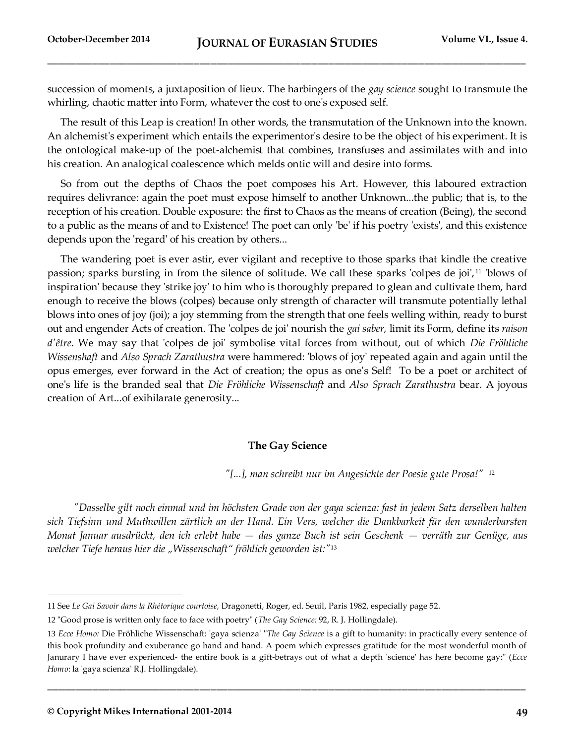succession of moments, a juxtaposition of lieux. The harbingers of the *gay science* sought to transmute the whirling, chaotic matter into Form, whatever the cost to one's exposed self.

The result of this Leap is creation! In other words, the transmutation of the Unknown into the known. An alchemist's experiment which entails the experimentor's desire to be the object of his experiment. It is the ontological make-up of the poet-alchemist that combines, transfuses and assimilates with and into his creation. An analogical coalescence which melds ontic will and desire into forms.

So from out the depths of Chaos the poet composes his Art. However, this laboured extraction requires delivrance: again the poet must expose himself to another Unknown...the public; that is, to the reception of his creation. Double exposure: the first to Chaos as the means of creation (Being), the second to a public as the means of and to Existence! The poet can only 'be' if his poetry 'exists', and this existence depends upon the 'regard' of his creation by others...

The wandering poet is ever astir, ever vigilant and receptive to those sparks that kindle the creative passion; sparks bursting in from the silence of solitude. We call these sparks 'colpes de joi', <sup>11</sup> 'blows of inspiration' because they 'strike joy' to him who is thoroughly prepared to glean and cultivate them, hard enough to receive the blows (colpes) because only strength of character will transmute potentially lethal blows into ones of joy (joi); a joy stemming from the strength that one feels welling within, ready to burst out and engender Acts of creation. The 'colpes de joi' nourish the *gai saber,* limit its Form, define its *raison d'être*. We may say that 'colpes de joi' symbolise vital forces from without, out of which *Die Fröhliche Wissenshaft* and *Also Sprach Zarathustra* were hammered: 'blows of joy' repeated again and again until the opus emerges, ever forward in the Act of creation; the opus as one's Self! To be a poet or architect of one's life is the branded seal that *Die Fröhliche Wissenschaft* and *Also Sprach Zarathustra* bear. A joyous creation of Art...of exihilarate generosity...

#### **The Gay Science**

*"[...], man schreibt nur im Angesichte der Poesie gute Prosa!"* 12

 *"Dasselbe gilt noch einmal und im höchsten Grade von der gaya scienza: fast in jedem Satz derselben halten sich Tiefsinn und Muthwillen zärtlich an der Hand. Ein Vers, welcher die Dankbarkeit für den wunderbarsten Monat Januar ausdrückt, den ich erlebt habe — das ganze Buch ist sein Geschenk — verräth zur Genüge, aus welcher Tiefe heraus hier die "Wissenschaft" fröhlich geworden ist:"*<sup>13</sup>

**\_\_\_\_\_\_\_\_\_\_\_\_\_\_\_\_\_\_\_\_\_\_\_\_\_\_\_\_\_\_\_\_\_\_\_\_\_\_\_\_\_\_\_\_\_\_\_\_\_\_\_\_\_\_\_\_\_\_\_\_\_\_\_\_\_\_\_\_\_\_\_\_\_\_\_\_\_\_\_\_\_\_\_\_\_**

<sup>11</sup> See *Le Gai Savoir dans la Rhétorique courtoise,* Dragonetti, Roger, ed. Seuil, Paris 1982, especially page 52.

<sup>12</sup> "Good prose is written only face to face with poetry" (*The Gay Science:* 92, R. J. Hollingdale).

<sup>13</sup> *Ecce Homo:* Die Fröhliche Wissenschaft: 'gaya scienza' "*The Gay Science* is a gift to humanity: in practically every sentence of this book profundity and exuberance go hand and hand. A poem which expresses gratitude for the most wonderful month of Janurary I have ever experienced- the entire book is a gift-betrays out of what a depth 'science' has here become gay:'' (*Ecce Homo*: la 'gaya scienza' R.J. Hollingdale).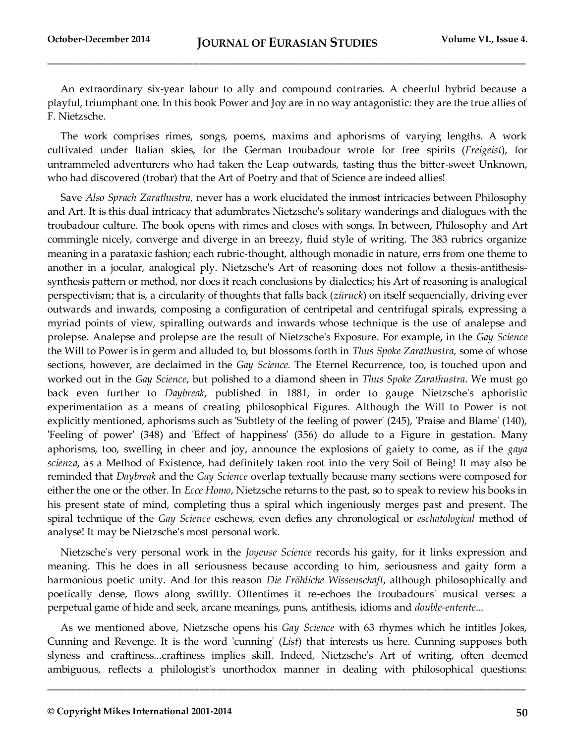An extraordinary six-year labour to ally and compound contraries. A cheerful hybrid because a playful, triumphant one. In this book Power and Joy are in no way antagonistic: they are the true allies of F. Nietzsche.

The work comprises rimes, songs, poems, maxims and aphorisms of varying lengths. A work cultivated under Italian skies, for the German troubadour wrote for free spirits (*Freigeist*), for untrammeled adventurers who had taken the Leap outwards, tasting thus the bitter-sweet Unknown, who had discovered (trobar) that the Art of Poetry and that of Science are indeed allies!

Save *Also Sprach Zarathustra*, never has a work elucidated the inmost intricacies between Philosophy and Art. It is this dual intricacy that adumbrates Nietzsche's solitary wanderings and dialogues with the troubadour culture. The book opens with rimes and closes with songs. In between, Philosophy and Art commingle nicely, converge and diverge in an breezy, fluid style of writing. The 383 rubrics organize meaning in a parataxic fashion; each rubric-thought, although monadic in nature, errs from one theme to another in a jocular, analogical ply. Nietzsche's Art of reasoning does not follow a thesis-antithesissynthesis pattern or method, nor does it reach conclusions by dialectics; his Art of reasoning is analogical perspectivism; that is, a circularity of thoughts that falls back (*züruck*) on itself sequencially, driving ever outwards and inwards, composing a configuration of centripetal and centrifugal spirals, expressing a myriad points of view, spiralling outwards and inwards whose technique is the use of analepse and prolepse. Analepse and prolepse are the result of Nietzsche's Exposure. For example, in the *Gay Science* the Will to Power is in germ and alluded to, but blossoms forth in *Thus Spoke Zarathustra,* some of whose sections, however, are declaimed in the *Gay Science.* The Eternel Recurrence, too, is touched upon and worked out in the *Gay Science*, but polished to a diamond sheen in *Thus Spoke Zarathustra*. We must go back even further to *Daybreak*, published in 1881, in order to gauge Nietzsche's aphoristic experimentation as a means of creating philosophical Figures. Although the Will to Power is not explicitly mentioned, aphorisms such as 'Subtlety of the feeling of power' (245), 'Praise and Blame' (140), 'Feeling of power' (348) and 'Effect of happiness' (356) do allude to a Figure in gestation. Many aphorisms, too, swelling in cheer and joy, announce the explosions of gaiety to come, as if the *gaya scienza*, as a Method of Existence, had definitely taken root into the very Soil of Being! It may also be reminded that *Daybreak* and the *Gay Science* overlap textually because many sections were composed for either the one or the other. In *Ecce Homo*, Nietzsche returns to the past, so to speak to review his books in his present state of mind, completing thus a spiral which ingeniously merges past and present. The spiral technique of the *Gay Science* eschews, even defies any chronological or *eschatological* method of analyse! It may be Nietzsche's most personal work.

Nietzsche's very personal work in the *Joyeuse Science* records his gaity, for it links expression and meaning. This he does in all seriousness because according to him, seriousness and gaity form a harmonious poetic unity. And for this reason *Die Fröhliche Wissenschaft*, although philosophically and poetically dense, flows along swiftly. Oftentimes it re-echoes the troubadours' musical verses: a perpetual game of hide and seek, arcane meanings, puns, antithesis, idioms and *double-entente*...

As we mentioned above, Nietzsche opens his *Gay Science* with 63 rhymes which he intitles Jokes, Cunning and Revenge. It is the word 'cunning' (*List*) that interests us here. Cunning supposes both slyness and craftiness...craftiness implies skill. Indeed, Nietzsche's Art of writing, often deemed ambiguous, reflects a philologist's unorthodox manner in dealing with philosophical questions: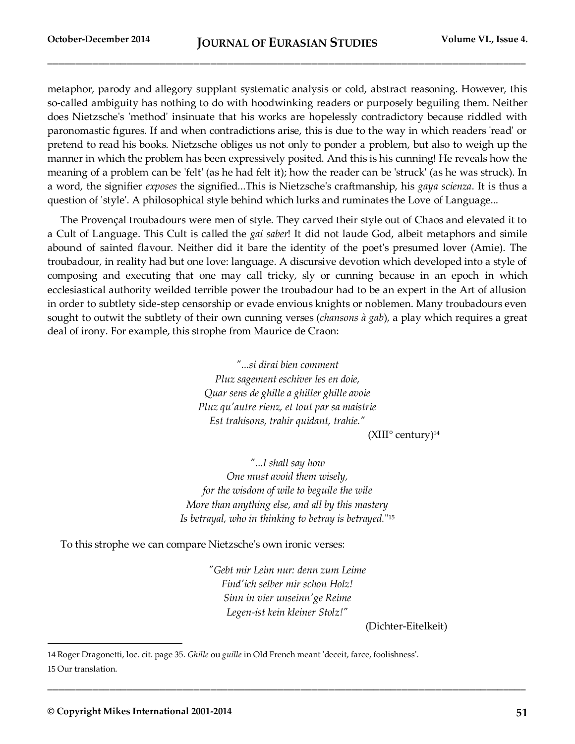metaphor, parody and allegory supplant systematic analysis or cold, abstract reasoning. However, this so-called ambiguity has nothing to do with hoodwinking readers or purposely beguiling them. Neither does Nietzsche's 'method' insinuate that his works are hopelessly contradictory because riddled with paronomastic fıgures. If and when contradictions arise, this is due to the way in which readers 'read' or pretend to read his books. Nietzsche obliges us not only to ponder a problem, but also to weigh up the manner in which the problem has been expressively posited. And this is his cunning! He reveals how the meaning of a problem can be 'felt' (as he had felt it); how the reader can be 'struck' (as he was struck). In a word, the signifier *exposes* the signified...This is Nietzsche's craftmanship, his *gaya scienza*. It is thus a question of 'style'. A philosophical style behind which lurks and ruminates the Love of Language...

The Provençal troubadours were men of style. They carved their style out of Chaos and elevated it to a Cult of Language. This Cult is called the *gai saber*! It did not laude God, albeit metaphors and simile abound of sainted flavour. Neither did it bare the identity of the poet's presumed lover (Amie). The troubadour, in reality had but one love: language. A discursive devotion which developed into a style of composing and executing that one may call tricky, sly or cunning because in an epoch in which ecclesiastical authority weilded terrible power the troubadour had to be an expert in the Art of allusion in order to subtlety side-step censorship or evade envious knights or noblemen. Many troubadours even sought to outwit the subtlety of their own cunning verses (*chansons à gab*), a play which requires a great deal of irony. For example, this strophe from Maurice de Craon:

> *"...si dirai bien comment Pluz sagement eschiver les en doie, Quar sens de ghille a ghiller ghille avoie Pluz qu'autre rienz, et tout par sa maistrie Est trahisons, trahir quidant, trahie."*

 $(XIII^{\circ}$  century)<sup>14</sup>

*"...I shall say how One must avoid them wisely, for the wisdom of wile to beguile the wile More than anything else, and all by this mastery Is betrayal, who in thinking to betray is betrayed.*" 15

To this strophe we can compare Nietzsche's own ironic verses:

*"Gebt mir Leim nur: denn zum Leime Find'ich selber mir schon Holz! Sinn in vier unseinn'ge Reime Legen-ist kein kleiner Stolz!"*

**\_\_\_\_\_\_\_\_\_\_\_\_\_\_\_\_\_\_\_\_\_\_\_\_\_\_\_\_\_\_\_\_\_\_\_\_\_\_\_\_\_\_\_\_\_\_\_\_\_\_\_\_\_\_\_\_\_\_\_\_\_\_\_\_\_\_\_\_\_\_\_\_\_\_\_\_\_\_\_\_\_\_\_\_\_**

(Dichter-Eitelkeit)

<sup>14</sup> Roger Dragonetti, loc. cit. page 35. *Ghille* ou *guille* in Old French meant 'deceit, farce, foolishness'. 15 Our translation.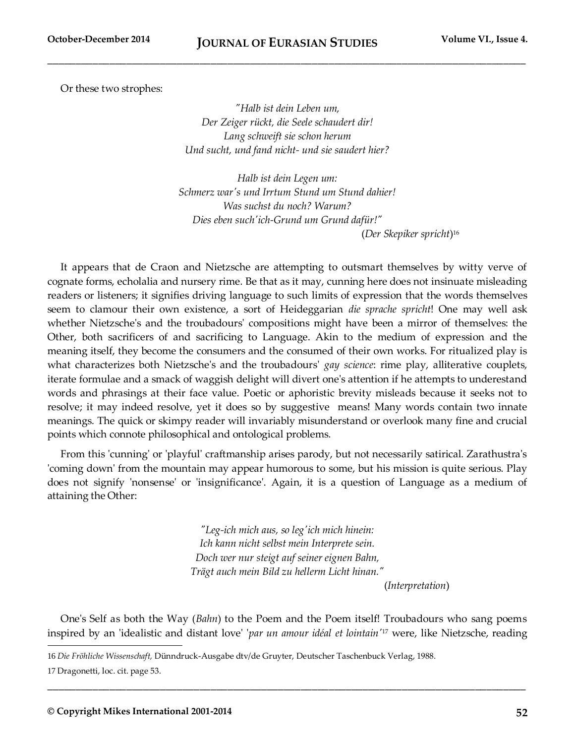Or these two strophes:

*"Halb ist dein Leben um, Der Zeiger rückt, die Seele schaudert dir! Lang schweift sie schon herum Und sucht, und fand nicht- und sie saudert hier?*

*Halb ist dein Legen um: Schmerz war's und Irrtum Stund um Stund dahier! Was suchst du noch? Warum? Dies eben such'ich-Grund um Grund dafür!"*

(*Der Skepiker spricht*) 16

It appears that de Craon and Nietzsche are attempting to outsmart themselves by witty verve of cognate forms, echolalia and nursery rime. Be that as it may, cunning here does not insinuate misleading readers or listeners; it signifies driving language to such limits of expression that the words themselves seem to clamour their own existence, a sort of Heideggarian *die sprache spricht*! One may well ask whether Nietzsche's and the troubadours' compositions might have been a mirror of themselves: the Other, both sacrificers of and sacrificing to Language. Akin to the medium of expression and the meaning itself, they become the consumers and the consumed of their own works. For ritualized play is what characterizes both Nietzsche's and the troubadours' *gay science*: rime play, alliterative couplets, iterate formulae and a smack of waggish delight will divert one's attention if he attempts to underestand words and phrasings at their face value. Poetic or aphoristic brevity misleads because it seeks not to resolve; it may indeed resolve, yet it does so by suggestive means! Many words contain two innate meanings. The quick or skimpy reader will invariably misunderstand or overlook many fine and crucial points which connote philosophical and ontological problems.

From this 'cunning' or 'playful' craftmanship arises parody, but not necessarily satirical. Zarathustra's 'coming down' from the mountain may appear humorous to some, but his mission is quite serious. Play does not signify 'nonsense' or 'insignificance'. Again, it is a question of Language as a medium of attaining the Other:

> *"Leg-ich mich aus, so leg'ich mich hinein: Ich kann nicht selbst mein Interprete sein. Doch wer nur steigt auf seiner eignen Bahn, Trägt auch mein Bild zu hellerm Licht hinan."*

(*Interpretation*)

One's Self as both the Way (*Bahn*) to the Poem and the Poem itself! Troubadours who sang poems inspired by an 'idealistic and distant love' '*par un amour idéal et lointain'*<sup>17</sup> were, like Nietzsche, reading

**\_\_\_\_\_\_\_\_\_\_\_\_\_\_\_\_\_\_\_\_\_\_\_\_\_\_\_\_\_\_\_\_\_\_\_\_\_\_\_\_\_\_\_\_\_\_\_\_\_\_\_\_\_\_\_\_\_\_\_\_\_\_\_\_\_\_\_\_\_\_\_\_\_\_\_\_\_\_\_\_\_\_\_\_\_**

<sup>16</sup> *Die Fröhliche Wissenschaft,* Dünndruck-Ausgabe dtv/de Gruyter, Deutscher Taschenbuck Verlag, 1988.

<sup>17</sup> Dragonetti, loc. cit. page 53.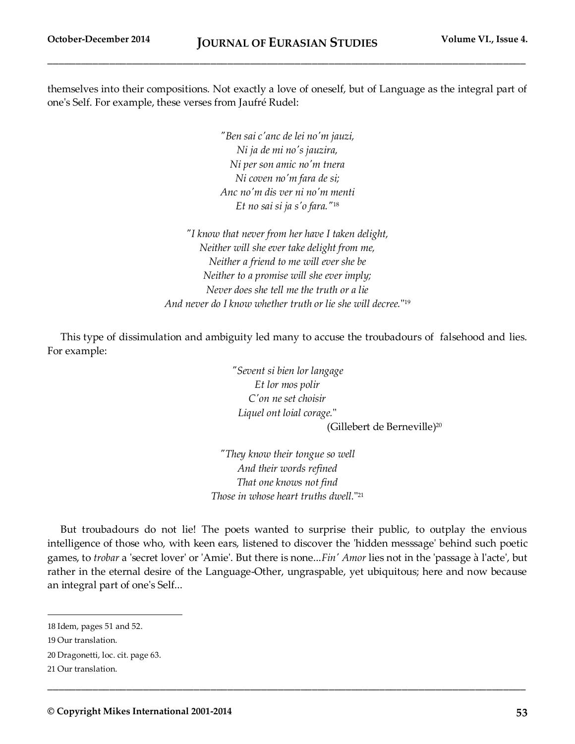themselves into their compositions. Not exactly a love of oneself, but of Language as the integral part of one's Self. For example, these verses from Jaufré Rudel:

> *"Ben sai c'anc de lei no'm jauzi, Ni ja de mi no's jauzira, Ni per son amic no'm tnera Ni coven no'm fara de si; Anc no'm dis ver ni no'm menti Et no sai si ja s'o fara."*<sup>18</sup>

*"I know that never from her have I taken delight, Neither will she ever take delight from me, Neither a friend to me will ever she be Neither to a promise will she ever imply; Never does she tell me the truth or a lie And never do I know whether truth or lie she will decree.*" 19

This type of dissimulation and ambiguity led many to accuse the troubadours of falsehood and lies. For example:

> *"Sevent si bien lor langage Et lor mos polir C'on ne set choisir Liquel ont loial corage.*" (Gillebert de Berneville)<sup>20</sup>

*"They know their tongue so well And their words refined That one knows not find Those in whose heart truths dwell.*" 21

But troubadours do not lie! The poets wanted to surprise their public, to outplay the envious intelligence of those who, with keen ears, listened to discover the 'hidden messsage' behind such poetic games, to *trobar* a 'secret lover' or 'Amie'. But there is none...*Fin' Amor* lies not in the 'passage à l'acte', but rather in the eternal desire of the Language-Other, ungraspable, yet ubiquitous; here and now because an integral part of one's Self...

**\_\_\_\_\_\_\_\_\_\_\_\_\_\_\_\_\_\_\_\_\_\_\_\_\_\_\_\_\_\_\_\_\_\_\_\_\_\_\_\_\_\_\_\_\_\_\_\_\_\_\_\_\_\_\_\_\_\_\_\_\_\_\_\_\_\_\_\_\_\_\_\_\_\_\_\_\_\_\_\_\_\_\_\_\_**

<sup>18</sup> Idem, pages 51 and 52.

<sup>19</sup> Our translation.

<sup>20</sup> Dragonetti, loc. cit. page 63.

<sup>21</sup> Our translation.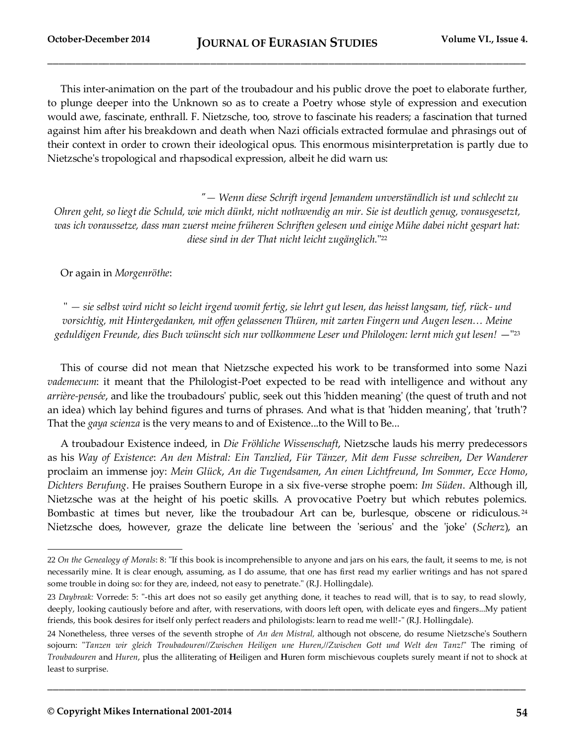This inter-animation on the part of the troubadour and his public drove the poet to elaborate further, to plunge deeper into the Unknown so as to create a Poetry whose style of expression and execution would awe, fascinate, enthrall. F. Nietzsche, too, strove to fascinate his readers; a fascination that turned against him after his breakdown and death when Nazi officials extracted formulae and phrasings out of their context in order to crown their ideological opus. This enormous misinterpretation is partly due to Nietzsche's tropological and rhapsodical expression, albeit he did warn us:

 *"— Wenn diese Schrift irgend Jemandem unverständlich ist und schlecht zu Ohren geht, so liegt die Schuld, wie mich dünkt, nicht nothwendig an mir. Sie ist deutlich genug, vorausgesetzt, was ich voraussetze, dass man zuerst meine früheren Schriften gelesen und einige Mühe dabei nicht gespart hat: diese sind in der That nicht leicht zugänglich.*" 22

Or again in *Morgenröthe*:

" *— sie selbst wird nicht so leicht irgend womit fertig, sie lehrt gut lesen, das heisst langsam, tief, rück- und vorsichtig, mit Hintergedanken, mit offen gelassenen Thüren, mit zarten Fingern und Augen lesen… Meine*  geduldigen Freunde, dies Buch wünscht sich nur vollkommene Leser und Philologen: lernt mich gut lesen! —''<sup>23</sup>

This of course did not mean that Nietzsche expected his work to be transformed into some Nazi *vademecum*: it meant that the Philologist-Poet expected to be read with intelligence and without any *arrière-pensée*, and like the troubadours' public, seek out this 'hidden meaning' (the quest of truth and not an idea) which lay behind figures and turns of phrases. And what is that 'hidden meaning', that 'truth'? That the *gaya scienza* is the very means to and of Existence...to the Will to Be...

A troubadour Existence indeed, in *Die Fröhliche Wissenschaft*, Nietzsche lauds his merry predecessors as his *Way of Existence*: *An den Mistral: Ein Tanzlied*, *Für Tänzer, Mit dem Fusse schreiben*, *Der Wanderer*  proclaim an immense joy: *Mein Glück*, *An die Tugendsamen*, *An einen Lichtfreund*, *Im Sommer*, *Ecce Homo*, *Dichters Berufung*. He praises Southern Europe in a six five-verse strophe poem: *Im Süden*. Although ill, Nietzsche was at the height of his poetic skills. A provocative Poetry but which rebutes polemics. Bombastic at times but never, like the troubadour Art can be, burlesque, obscene or ridiculous.<sup>24</sup> Nietzsche does, however, graze the delicate line between the 'serious' and the 'joke' (*Scherz*), an

<sup>22</sup> *On the Genealogy of Morals*: 8: "If this book is incomprehensible to anyone and jars on his ears, the fault, it seems to me, is not necessarily mine. It is clear enough, assuming, as I do assume, that one has first read my earlier writings and has not spared some trouble in doing so: for they are, indeed, not easy to penetrate." (R.J. Hollingdale).

<sup>23</sup> *Daybreak:* Vorrede: 5: "-this art does not so easily get anything done, it teaches to read will, that is to say, to read slowly, deeply, looking cautiously before and after, with reservations, with doors left open, with delicate eyes and fingers...My patient friends, this book desires for itself only perfect readers and philologists: learn to read me well!-" (R.J. Hollingdale).

<sup>24</sup> Nonetheless, three verses of the seventh strophe of *An den Mistral,* although not obscene, do resume Nietzsche's Southern sojourn: "*Tanzen wir gleich Troubadouren//Zwischen Heiligen une Huren,//Zwischen Gott und Welt den Tanz!*" The riming of *Troubadouren* and *Huren*, plus the alliterating of **H**eiligen and **H**uren form mischievous couplets surely meant if not to shock at least to surprise.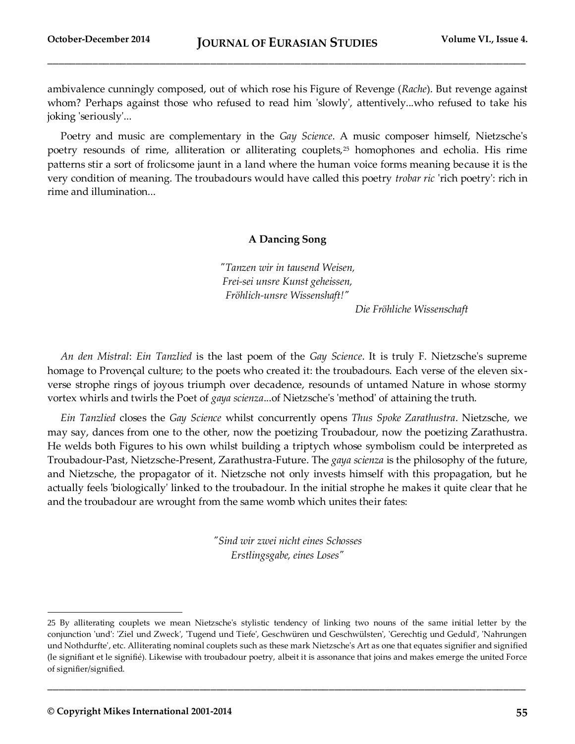ambivalence cunningly composed, out of which rose his Figure of Revenge (*Rache*). But revenge against whom? Perhaps against those who refused to read him 'slowly', attentively...who refused to take his joking 'seriously'...

Poetry and music are complementary in the *Gay Science*. A music composer himself, Nietzsche's poetry resounds of rime, alliteration or alliterating couplets,<sup>25</sup> homophones and echolia. His rime patterns stir a sort of frolicsome jaunt in a land where the human voice forms meaning because it is the very condition of meaning. The troubadours would have called this poetry *trobar ric* 'rich poetry': rich in rime and illumination...

#### **A Dancing Song**

*"Tanzen wir in tausend Weisen, Frei-sei unsre Kunst geheissen, Fröhlich-unsre Wissenshaft!"*

 *Die Fröhliche Wissenschaft*

*An den Mistral*: *Ein Tanzlied* is the last poem of the *Gay Science*. It is truly F. Nietzsche's supreme homage to Provençal culture; to the poets who created it: the troubadours. Each verse of the eleven sixverse strophe rings of joyous triumph over decadence, resounds of untamed Nature in whose stormy vortex whirls and twirls the Poet of *gaya scienza*...of Nietzsche's 'method' of attaining the truth.

*Ein Tanzlied* closes the *Gay Science* whilst concurrently opens *Thus Spoke Zarathustra*. Nietzsche, we may say, dances from one to the other, now the poetizing Troubadour, now the poetizing Zarathustra. He welds both Figures to his own whilst building a triptych whose symbolism could be interpreted as Troubadour-Past, Nietzsche-Present, Zarathustra-Future. The *gaya scienza* is the philosophy of the future, and Nietzsche, the propagator of it. Nietzsche not only invests himself with this propagation, but he actually feels 'biologically' linked to the troubadour. In the initial strophe he makes it quite clear that he and the troubadour are wrought from the same womb which unites their fates:

> *"Sind wir zwei nicht eines Schosses Erstlingsgabe, eines Loses"*

**\_\_\_\_\_\_\_\_\_\_\_\_\_\_\_\_\_\_\_\_\_\_\_\_\_\_\_\_\_\_\_\_\_\_\_\_\_\_\_\_\_\_\_\_\_\_\_\_\_\_\_\_\_\_\_\_\_\_\_\_\_\_\_\_\_\_\_\_\_\_\_\_\_\_\_\_\_\_\_\_\_\_\_\_\_**

<sup>25</sup> By alliterating couplets we mean Nietzsche's stylistic tendency of linking two nouns of the same initial letter by the conjunction 'und': 'Ziel und Zweck', 'Tugend und Tiefe', Geschwüren und Geschwülsten', 'Gerechtig und Geduld', 'Nahrungen und Nothdurfte', etc. Alliterating nominal couplets such as these mark Nietzsche's Art as one that equates signifier and signified (le signifiant et le signifié). Likewise with troubadour poetry, albeit it is assonance that joins and makes emerge the united Force of signifier/signified.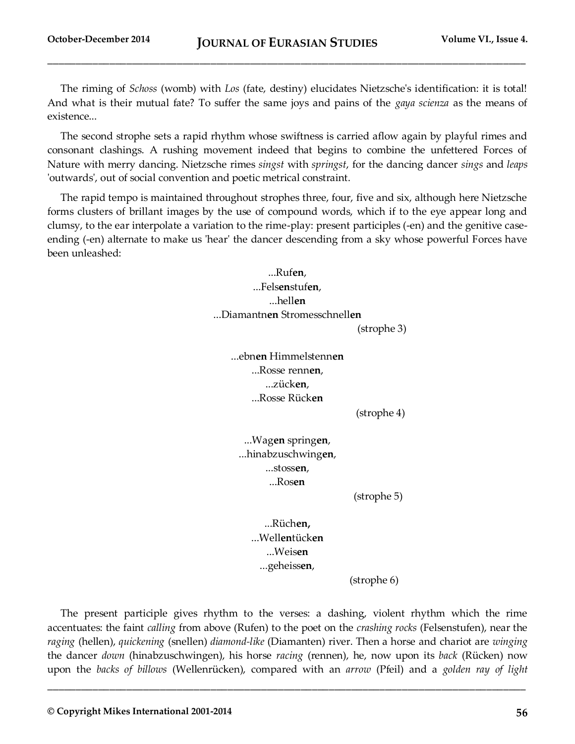The riming of *Schoss* (womb) with *Los* (fate, destiny) elucidates Nietzsche's identification: it is total! And what is their mutual fate? To suffer the same joys and pains of the *gaya scienza* as the means of existence...

The second strophe sets a rapid rhythm whose swiftness is carried aflow again by playful rimes and consonant clashings. A rushing movement indeed that begins to combine the unfettered Forces of Nature with merry dancing. Nietzsche rimes *singst* with *springst*, for the dancing dancer *sings* and *leaps* 'outwards', out of social convention and poetic metrical constraint.

The rapid tempo is maintained throughout strophes three, four, five and six, although here Nietzsche forms clusters of brillant images by the use of compound words, which if to the eye appear long and clumsy, to the ear interpolate a variation to the rime-play: present participles (-en) and the genitive caseending (-en) alternate to make us 'hear' the dancer descending from a sky whose powerful Forces have been unleashed:

> ...Ruf**en**, ...Fels**en**stuf**en**, ...hell**en** ...Diamantn**en** Stromesschnell**en**

(strophe 3)

...ebn**en** Himmelstenn**en** ...Rosse renn**en**, ...zück**en**, ...Rosse Rück**en**

(strophe 4)

...Wag**en** spring**en**, ...hinabzuschwing**en**, ...stoss**en**, ...Ros**en**

(strophe 5)

...Rüch**en,** ...Well**en**tück**en** ...Weis**en** ...geheiss**en**,

(strophe 6)

The present participle gives rhythm to the verses: a dashing, violent rhythm which the rime accentuates: the faint *calling* from above (Rufen) to the poet on the *crashing rocks* (Felsenstufen), near the *raging* (hellen), *quickening* (snellen) *diamond-like* (Diamanten) river. Then a horse and chariot are *winging* the dancer *down* (hinabzuschwingen), his horse *racing* (rennen), he, now upon its *back* (Rücken) now upon the *backs of billows* (Wellenrücken), compared with an *arrow* (Pfeil) and a *golden ray of light*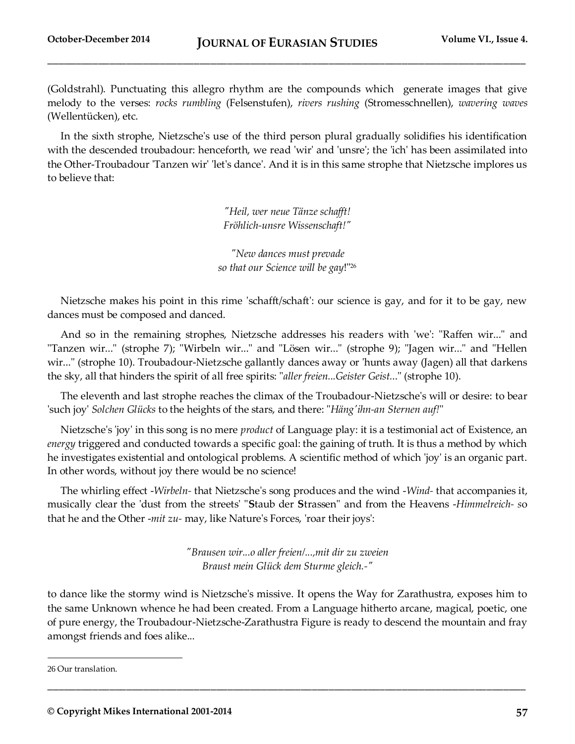(Goldstrahl). Punctuating this allegro rhythm are the compounds which generate images that give melody to the verses: *rocks rumbling* (Felsenstufen), *rivers rushing* (Stromesschnellen), *wavering waves*  (Wellentücken), etc.

In the sixth strophe, Nietzsche's use of the third person plural gradually solidifies his identification with the descended troubadour: henceforth, we read 'wir' and 'unsre'; the 'ich' has been assimilated into the Other-Troubadour 'Tanzen wir' 'let's dance'. And it is in this same strophe that Nietzsche implores us to believe that:

> *"Heil, wer neue Tänze schafft! Fröhlich-unsre Wissenschaft!"*

*"New dances must prevade so that our Science will be gay*!"<sup>26</sup>

Nietzsche makes his point in this rime 'schafft/schaft': our science is gay, and for it to be gay, new dances must be composed and danced.

And so in the remaining strophes, Nietzsche addresses his readers with 'we': "Raffen wir..." and "Tanzen wir..." (strophe 7); "Wirbeln wir..." and "Lösen wir..." (strophe 9); "Jagen wir..." and "Hellen wir..." (strophe 10). Troubadour-Nietzsche gallantly dances away or 'hunts away (Jagen) all that darkens the sky, all that hinders the spirit of all free spirits: "*aller freien...Geister Geist.*.." (strophe 10).

The eleventh and last strophe reaches the climax of the Troubadour-Nietzsche's will or desire: to bear 'such joy' *Solchen Glücks* to the heights of the stars, and there: "*Häng'ihn-an Sternen auf!*"

Nietzsche's 'joy' in this song is no mere *product* of Language play: it is a testimonial act of Existence, an *energy* triggered and conducted towards a specific goal: the gaining of truth. It is thus a method by which he investigates existential and ontological problems. A scientific method of which 'joy' is an organic part. In other words, without joy there would be no science!

The whirling effect -*Wirbeln-* that Nietzsche's song produces and the wind -*Wind-* that accompanies it, musically clear the 'dust from the streets' "**S**taub der **S**trassen" and from the Heavens -*Himmelreich- s*o that he and the Other -*mit zu-* may, like Nature's Forces, 'roar their joys':

> *"Brausen wir...o aller freien/...,mit dir zu zweien Braust mein Glück dem Sturme gleich.-"*

to dance like the stormy wind is Nietzsche's missive. It opens the Way for Zarathustra, exposes him to the same Unknown whence he had been created. From a Language hitherto arcane, magical, poetic, one of pure energy, the Troubadour-Nietzsche-Zarathustra Figure is ready to descend the mountain and fray amongst friends and foes alike...

**\_\_\_\_\_\_\_\_\_\_\_\_\_\_\_\_\_\_\_\_\_\_\_\_\_\_\_\_\_\_\_\_\_\_\_\_\_\_\_\_\_\_\_\_\_\_\_\_\_\_\_\_\_\_\_\_\_\_\_\_\_\_\_\_\_\_\_\_\_\_\_\_\_\_\_\_\_\_\_\_\_\_\_\_\_**

<sup>26</sup> Our translation.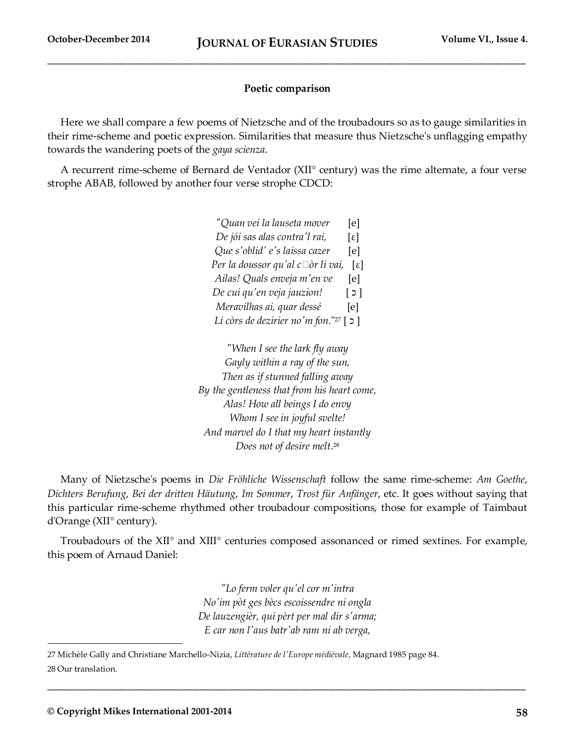#### **Poetic comparison**

Here we shall compare a few poems of Nietzsche and of the troubadours so as to gauge similarities in their rime-scheme and poetic expression. Similarities that measure thus Nietzsche's unflagging empathy towards the wandering poets of the *gaya scienza*.

A recurrent rime-scheme of Bernard de Ventador (XII° century) was the rime alternate, a four verse strophe ABAB, followed by another four verse strophe CDCD:

| "Quan vei la lauseta mover               | [e]                         |
|------------------------------------------|-----------------------------|
| De jói sas alas contra'l rai,            | $\lceil \varepsilon \rceil$ |
| Que s'oblid' e's laissa cazer            | [e]                         |
| Per la doussor qu'al c $\Box$ òr li vai, | Γε]                         |
| Ailas! Quals enveja m'en ve              | [e]                         |
| De cui qu'en veja jauzion!               | $\lceil 2 \rceil$           |
| Meravilhas ai, quar dessé                | [e]                         |
| Li còrs de dezirier no'm fon."27         | ן כ                         |

*"When I see the lark fly away Gayly within a ray of the sun, Then as if stunned falling away By the gentleness that from his heart come, Alas! How all beings I do envy Whom I see in joyful svelte! And marvel do I that my heart instantly Does not of desire melt*. 28

Many of Nietzsche's poems in *Die Fröhliche Wissenschaft* follow the same rime-scheme: *Am Goethe*, *Dichters Berufung*, *Bei der dritten Häutung*, *Im Sommer*, *Trost für Anfänger*, etc. It goes without saying that this particular rime-scheme rhythmed other troubadour compositions, those for example of Taimbaut d'Orange (XII° century).

Troubadours of the XII° and XIII° centuries composed assonanced or rimed sextines. For example, this poem of Arnaud Daniel:

> *"Lo ferm voler qu'el cor m'intra No'im pòt ges bècs escoissendre ni ongla De lauzengièr, qui pèrt per mal dir s'arma; E car non l'aus batr'ab ram ni ab verga,*

**\_\_\_\_\_\_\_\_\_\_\_\_\_\_\_\_\_\_\_\_\_\_\_\_\_\_\_\_\_\_\_\_\_\_\_\_\_\_\_\_\_\_\_\_\_\_\_\_\_\_\_\_\_\_\_\_\_\_\_\_\_\_\_\_\_\_\_\_\_\_\_\_\_\_\_\_\_\_\_\_\_\_\_\_\_**

27 Michèle Gally and Christiane Marchello-Nizia, *Littérature de l'Europe médiévale*, Magnard 1985 page 84. 28 Our translation.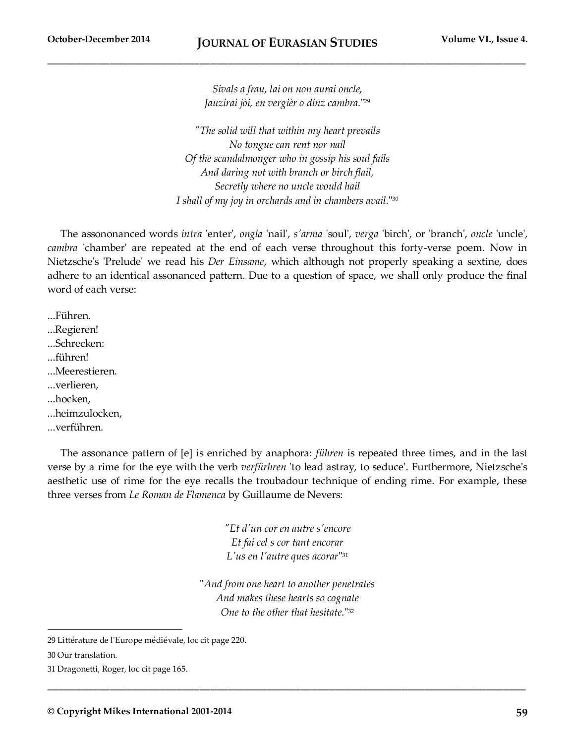*Sivals a frau, lai on non aurai oncle, Jauzirai jòi, en vergièr o dinz cambra.*" 29

*"The solid will that within my heart prevails No tongue can rent nor nail Of the scandalmonger who in gossip his soul fails And daring not with branch or birch flail, Secretly where no uncle would hail I shall of my joy in orchards and in chambers avail.*" 30

The assononanced words *intra* 'enter', *ongla* 'nail', *s'arma* 'soul', *verga* 'birch', or 'branch', *oncle* 'uncle', *cambra* 'chamber' are repeated at the end of each verse throughout this forty-verse poem. Now in Nietzsche's 'Prelude' we read his *Der Einsame*, which although not properly speaking a sextine, does adhere to an identical assonanced pattern. Due to a question of space, we shall only produce the final word of each verse:

...Führen. ...Regieren! ...Schrecken: ...führen! ...Meerestieren. ...verlieren, ...hocken, ...heimzulocken, ...verführen.

The assonance pattern of [e] is enriched by anaphora: *führen* is repeated three times, and in the last verse by a rime for the eye with the verb *verfürhren* 'to lead astray, to seduce'. Furthermore, Nietzsche's aesthetic use of rime for the eye recalls the troubadour technique of ending rime. For example, these three verses from *Le Roman de Flamenca* by Guillaume de Nevers:

> *"Et d'un cor en autre s'encore Et fai cel s cor tant encorar L'us en l'autre ques acorar*" 31

"*And from one heart to another penetrates And makes these hearts so cognate One to the other that hesitate.*" 32

**\_\_\_\_\_\_\_\_\_\_\_\_\_\_\_\_\_\_\_\_\_\_\_\_\_\_\_\_\_\_\_\_\_\_\_\_\_\_\_\_\_\_\_\_\_\_\_\_\_\_\_\_\_\_\_\_\_\_\_\_\_\_\_\_\_\_\_\_\_\_\_\_\_\_\_\_\_\_\_\_\_\_\_\_\_**

<sup>29</sup> Littérature de l'Europe médiévale, loc cit page 220.

<sup>30</sup> Our translation.

<sup>31</sup> Dragonetti, Roger, loc cit page 165.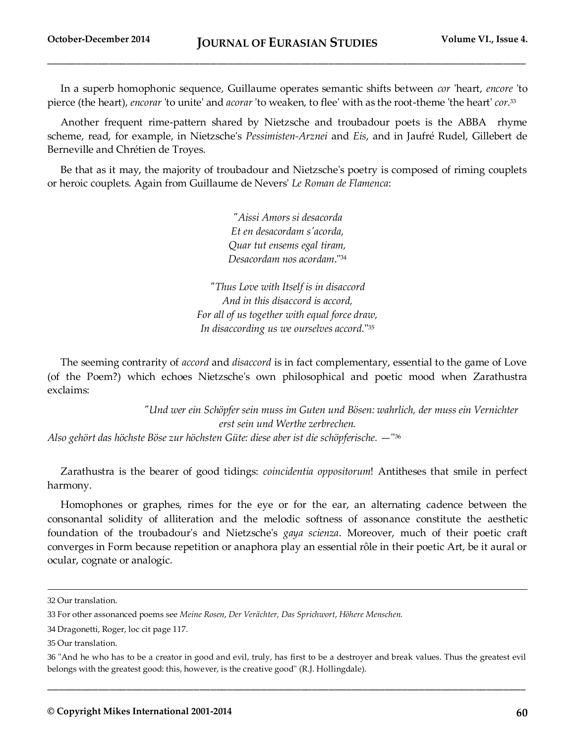In a superb homophonic sequence, Guillaume operates semantic shifts between *cor* 'heart, *encore* 'to pierce (the heart), *encorar* 'to unite' and *acorar* 'to weaken, to flee' with as the root-theme 'the heart' *cor*. 33

Another frequent rime-pattern shared by Nietzsche and troubadour poets is the ABBA rhyme scheme, read, for example, in Nietzsche's *Pessimisten-Arznei* and *Eis*, and in Jaufré Rudel, Gillebert de Berneville and Chrétien de Troyes.

Be that as it may, the majority of troubadour and Nietzsche's poetry is composed of riming couplets or heroic couplets. Again from Guillaume de Nevers' *Le Roman de Flamenca*:

> *"Aissi Amors si desacorda Et en desacordam s'acorda, Quar tut ensems egal tiram, Desacordam nos acordam*."<sup>34</sup>

*"Thus Love with Itself is in disaccord And in this disaccord is accord, For all of us together with equal force draw, In disaccording us we ourselves accord.*" 35

The seeming contrarity of *accord* and *disaccord* is in fact complementary, essential to the game of Love (of the Poem?) which echoes Nietzsche's own philosophical and poetic mood when Zarathustra exclaims:

 *"Und wer ein Schöpfer sein muss im Guten und Bösen: wahrlich, der muss ein Vernichter erst sein und Werthe zerbrechen.* Also gehört das höchste Böse zur höchsten Güte: diese aber ist die schöpferische. —''<sup>36</sup>

Zarathustra is the bearer of good tidings: *coincidentia oppositorum*! Antitheses that smile in perfect harmony.

Homophones or graphes, rimes for the eye or for the ear, an alternating cadence between the consonantal solidity of alliteration and the melodic softness of assonance constitute the aesthetic foundation of the troubadour's and Nietzsche's *gaya scienza*. Moreover, much of their poetic craft converges in Form because repetition or anaphora play an essential rôle in their poetic Art, be it aural or ocular, cognate or analogic.

 $\overline{a}$ 

<sup>32</sup> Our translation.

<sup>33</sup> For other assonanced poems see *Meine Rosen*, *Der Verächter, Das Sprichwort*, *Höhere Menschen.*

<sup>34</sup> Dragonetti, Roger, loc cit page 117.

<sup>35</sup> Our translation.

<sup>36</sup> "And he who has to be a creator in good and evil, truly, has first to be a destroyer and break values. Thus the greatest evil belongs with the greatest good: this, however, is the creative good'' (R.J. Hollingdale).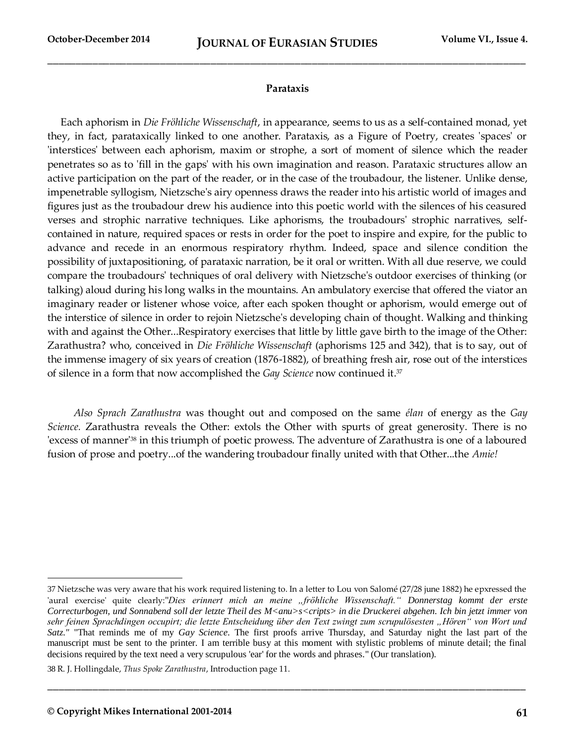#### **Parataxis**

Each aphorism in *Die Fröhliche Wissenschaft*, in appearance, seems to us as a self-contained monad, yet they, in fact, parataxically linked to one another. Parataxis, as a Figure of Poetry, creates 'spaces' or 'interstices' between each aphorism, maxim or strophe, a sort of moment of silence which the reader penetrates so as to 'fill in the gaps' with his own imagination and reason. Parataxic structures allow an active participation on the part of the reader, or in the case of the troubadour, the listener. Unlike dense, impenetrable syllogism, Nietzsche's airy openness draws the reader into his artistic world of images and figures just as the troubadour drew his audience into this poetic world with the silences of his ceasured verses and strophic narrative techniques. Like aphorisms, the troubadours' strophic narratives, selfcontained in nature, required spaces or rests in order for the poet to inspire and expire, for the public to advance and recede in an enormous respiratory rhythm. Indeed, space and silence condition the possibility of juxtapositioning, of parataxic narration, be it oral or written. With all due reserve, we could compare the troubadours' techniques of oral delivery with Nietzsche's outdoor exercises of thinking (or talking) aloud during his long walks in the mountains. An ambulatory exercise that offered the viator an imaginary reader or listener whose voice, after each spoken thought or aphorism, would emerge out of the interstice of silence in order to rejoin Nietzsche's developing chain of thought. Walking and thinking with and against the Other...Respiratory exercises that little by little gave birth to the image of the Other: Zarathustra? who, conceived in *Die Fröhliche Wissenschaft* (aphorisms 125 and 342), that is to say, out of the immense imagery of six years of creation (1876-1882), of breathing fresh air, rose out of the interstices of silence in a form that now accomplished the *Gay Science* now continued it.<sup>37</sup>

 *Also Sprach Zarathustra* was thought out and composed on the same *élan* of energy as the *Gay Science.* Zarathustra reveals the Other: extols the Other with spurts of great generosity. There is no 'excess of manner'<sup>38</sup> in this triumph of poetic prowess. The adventure of Zarathustra is one of a laboured fusion of prose and poetry...of the wandering troubadour finally united with that Other...the *Amie!*

**\_\_\_\_\_\_\_\_\_\_\_\_\_\_\_\_\_\_\_\_\_\_\_\_\_\_\_\_\_\_\_\_\_\_\_\_\_\_\_\_\_\_\_\_\_\_\_\_\_\_\_\_\_\_\_\_\_\_\_\_\_\_\_\_\_\_\_\_\_\_\_\_\_\_\_\_\_\_\_\_\_\_\_\_\_**

38 R. J. Hollingdale, *Thus Spoke Zarathustra*, Introduction page 11.

<sup>37</sup> Nietzsche was very aware that his work required listening to. In a letter to Lou von Salomé (27/28 june 1882) he epxressed the 'aural exercise' quite clearly:"*Dies erinnert mich an meine "fröhliche Wissenschaft." Donnerstag kommt der erste*  Correcturbogen, und Sonnabend soll der letzte Theil des M<anu>s<cripts> in die Druckerei abgehen. Ich bin jetzt immer von sehr feinen Sprachdingen occupirt; die letzte Entscheidung über den Text zwingt zum scrupulösesten "Hören" von Wort und *Satz."* "That reminds me of my *Gay Science*. The first proofs arrive Thursday, and Saturday night the last part of the manuscript must be sent to the printer. I am terrible busy at this moment with stylistic problems of minute detail; the final decisions required by the text need a very scrupulous 'ear' for the words and phrases." (Our translation).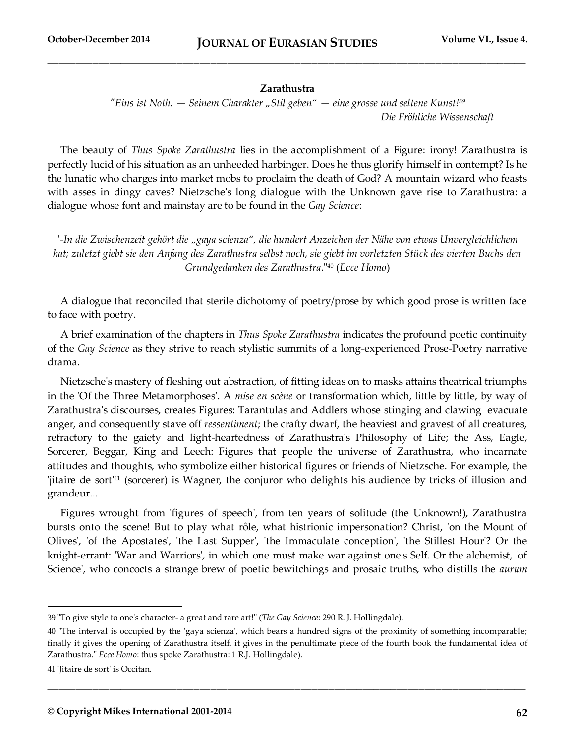#### **Zarathustra**

*"Eins ist Noth. — Seinem Charakter "Stil geben" — eine grosse und seltene Kunst!<sup>39</sup> Die Fröhliche Wissenschaft*

The beauty of *Thus Spoke Zarathustra* lies in the accomplishment of a Figure: irony! Zarathustra is perfectly lucid of his situation as an unheeded harbinger. Does he thus glorify himself in contempt? Is he the lunatic who charges into market mobs to proclaim the death of God? A mountain wizard who feasts with asses in dingy caves? Nietzsche's long dialogue with the Unknown gave rise to Zarathustra: a dialogue whose font and mainstay are to be found in the *Gay Science*:

"*-In die Zwischenzeit gehört die "gaya scienza", die hundert Anzeichen der Nähe von etwas Unvergleichlichem hat; zuletzt giebt sie den Anfang des Zarathustra selbst noch, sie giebt im vorletzten Stück des vierten Buchs den Grundgedanken des Zarathustra*."<sup>40</sup> (*Ecce Homo*)

A dialogue that reconciled that sterile dichotomy of poetry/prose by which good prose is written face to face with poetry.

A brief examination of the chapters in *Thus Spoke Zarathustra* indicates the profound poetic continuity of the *Gay Science* as they strive to reach stylistic summits of a long-experienced Prose-Poetry narrative drama.

Nietzsche's mastery of fleshing out abstraction, of fitting ideas on to masks attains theatrical triumphs in the 'Of the Three Metamorphoses'. A *mise en scène* or transformation which, little by little, by way of Zarathustra's discourses, creates Figures: Tarantulas and Addlers whose stinging and clawing evacuate anger, and consequently stave off *ressentiment*; the crafty dwarf, the heaviest and gravest of all creatures, refractory to the gaiety and light-heartedness of Zarathustra's Philosophy of Life; the Ass, Eagle, Sorcerer, Beggar, King and Leech: Figures that people the universe of Zarathustra, who incarnate attitudes and thoughts, who symbolize either historical figures or friends of Nietzsche. For example, the 'jitaire de sort'<sup>41</sup> (sorcerer) is Wagner, the conjuror who delights his audience by tricks of illusion and grandeur...

Figures wrought from 'figures of speech', from ten years of solitude (the Unknown!), Zarathustra bursts onto the scene! But to play what rôle, what histrionic impersonation? Christ, 'on the Mount of Olives', 'of the Apostates', 'the Last Supper', 'the Immaculate conception', 'the Stillest Hour'? Or the knight-errant: 'War and Warriors', in which one must make war against one's Self. Or the alchemist, 'of Science', who concocts a strange brew of poetic bewitchings and prosaic truths, who distills the *aurum* 

**\_\_\_\_\_\_\_\_\_\_\_\_\_\_\_\_\_\_\_\_\_\_\_\_\_\_\_\_\_\_\_\_\_\_\_\_\_\_\_\_\_\_\_\_\_\_\_\_\_\_\_\_\_\_\_\_\_\_\_\_\_\_\_\_\_\_\_\_\_\_\_\_\_\_\_\_\_\_\_\_\_\_\_\_\_**

<sup>39</sup> "To give style to one's character- a great and rare art!" (*The Gay Science*: 290 R. J. Hollingdale).

<sup>40</sup> "The interval is occupied by the 'gaya scienza', which bears a hundred signs of the proximity of something incomparable; finally it gives the opening of Zarathustra itself, it gives in the penultimate piece of the fourth book the fundamental idea of Zarathustra." *Ecce Homo*: thus spoke Zarathustra: 1 R.J. Hollingdale).

<sup>41</sup> 'Jitaire de sort' is Occitan.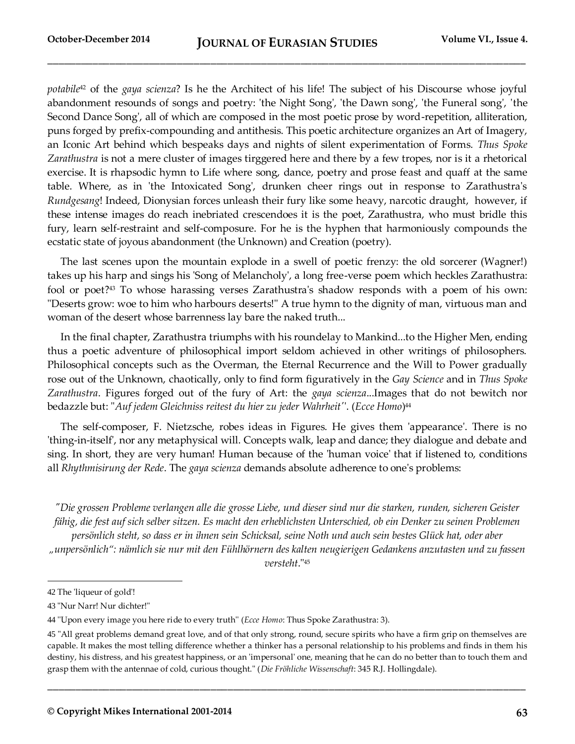*potabile*<sup>42</sup> of the *gaya scienza*? Is he the Architect of his life! The subject of his Discourse whose joyful abandonment resounds of songs and poetry: 'the Night Song', 'the Dawn song', 'the Funeral song', 'the Second Dance Song', all of which are composed in the most poetic prose by word-repetition, alliteration, puns forged by prefix-compounding and antithesis. This poetic architecture organizes an Art of Imagery, an Iconic Art behind which bespeaks days and nights of silent experimentation of Forms. *Thus Spoke Zarathustra* is not a mere cluster of images tirggered here and there by a few tropes, nor is it a rhetorical exercise. It is rhapsodic hymn to Life where song, dance, poetry and prose feast and quaff at the same table. Where, as in 'the Intoxicated Song', drunken cheer rings out in response to Zarathustra's *Rundgesang*! Indeed, Dionysian forces unleash their fury like some heavy, narcotic draught, however, if these intense images do reach inebriated crescendoes it is the poet, Zarathustra, who must bridle this fury, learn self-restraint and self-composure. For he is the hyphen that harmoniously compounds the ecstatic state of joyous abandonment (the Unknown) and Creation (poetry).

The last scenes upon the mountain explode in a swell of poetic frenzy: the old sorcerer (Wagner!) takes up his harp and sings his 'Song of Melancholy', a long free-verse poem which heckles Zarathustra: fool or poet?<sup>43</sup> To whose harassing verses Zarathustra's shadow responds with a poem of his own: "Deserts grow: woe to him who harbours deserts!" A true hymn to the dignity of man, virtuous man and woman of the desert whose barrenness lay bare the naked truth...

In the final chapter, Zarathustra triumphs with his roundelay to Mankind...to the Higher Men, ending thus a poetic adventure of philosophical import seldom achieved in other writings of philosophers. Philosophical concepts such as the Overman, the Eternal Recurrence and the Will to Power gradually rose out of the Unknown, chaotically, only to find form figuratively in the *Gay Science* and in *Thus Spoke Zarathustra*. Figures forged out of the fury of Art: the *gaya scienza*...Images that do not bewitch nor bedazzle but: "*Auf jedem Gleichniss reitest du hier zu jeder Wahrheit'*'. (*Ecce Homo*) 44

The self-composer, F. Nietzsche, robes ideas in Figures. He gives them 'appearance'. There is no 'thing-in-itself', nor any metaphysical will. Concepts walk, leap and dance; they dialogue and debate and sing. In short, they are very human! Human because of the 'human voice' that if listened to, conditions all *Rhythmisirung der Rede*. The *gaya scienza* demands absolute adherence to one's problems:

*"Die grossen Probleme verlangen alle die grosse Liebe, und dieser sind nur die starken, runden, sicheren Geister fähig, die fest auf sich selber sitzen. Es macht den erheblichsten Unterschied, ob ein Denker zu seinen Problemen persönlich steht, so dass er in ihnen sein Schicksal, seine Noth und auch sein bestes Glück hat, oder aber "unpersönlich": nämlich sie nur mit den Fühlhörnern des kalten neugierigen Gedankens anzutasten und zu fassen versteht*."<sup>45</sup>

 $\overline{a}$ 

<sup>42</sup> The 'liqueur of gold'!

<sup>43</sup> "Nur Narr! Nur dichter!"

<sup>44</sup> ''Upon every image you here ride to every truth'' (*Ecce Homo*: Thus Spoke Zarathustra: 3).

<sup>45</sup> "All great problems demand great love, and of that only strong, round, secure spirits who have a firm grip on themselves are capable. It makes the most telling difference whether a thinker has a personal relationship to his problems and finds in them his destiny, his distress, and his greatest happiness, or an 'impersonal' one, meaning that he can do no better than to touch them and grasp them with the antennae of cold, curious thought." (*Die Fröhliche Wissenschaft*: 345 R.J. Hollingdale).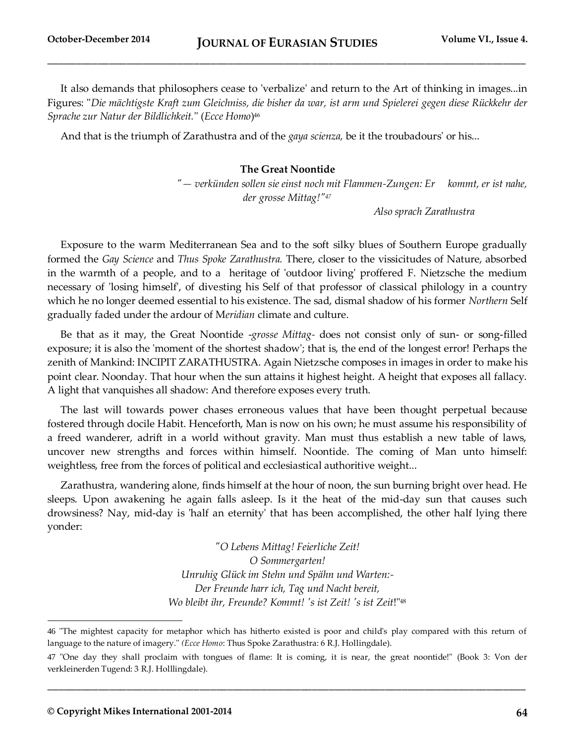It also demands that philosophers cease to 'verbalize' and return to the Art of thinking in images...in Figures: "*Die mächtigste Kraft zum Gleichniss, die bisher da war, ist arm und Spielerei gegen diese Rückkehr der Sprache zur Natur der Bildlichkeit.*'' (*Ecce Homo*) 46

And that is the triumph of Zarathustra and of the *gaya scienza,* be it the troubadours' or his...

#### **The Great Noontide**

 *"— verkünden sollen sie einst noch mit Flammen-Zungen: Er kommt, er ist nahe, der grosse Mittag!"<sup>47</sup>*

 *Also sprach Zarathustra* 

Exposure to the warm Mediterranean Sea and to the soft silky blues of Southern Europe gradually formed the *Gay Science* and *Thus Spoke Zarathustra.* There, closer to the vissicitudes of Nature, absorbed in the warmth of a people, and to a heritage of 'outdoor living' proffered F. Nietzsche the medium necessary of 'losing himself', of divesting his Self of that professor of classical philology in a country which he no longer deemed essential to his existence. The sad, dismal shadow of his former *Northern* Self gradually faded under the ardour of M*eridian* climate and culture.

Be that as it may, the Great Noontide -*grosse Mittag-* does not consist only of sun- or song-filled exposure; it is also the 'moment of the shortest shadow'; that is, the end of the longest error! Perhaps the zenith of Mankind: INCIPIT ZARATHUSTRA. Again Nietzsche composes in images in order to make his point clear. Noonday. That hour when the sun attains it highest height. A height that exposes all fallacy. A light that vanquishes all shadow: And therefore exposes every truth.

The last will towards power chases erroneous values that have been thought perpetual because fostered through docile Habit. Henceforth, Man is now on his own; he must assume his responsibility of a freed wanderer, adrift in a world without gravity. Man must thus establish a new table of laws, uncover new strengths and forces within himself. Noontide. The coming of Man unto himself: weightless, free from the forces of political and ecclesiastical authoritive weight...

Zarathustra, wandering alone, finds himself at the hour of noon, the sun burning bright over head. He sleeps. Upon awakening he again falls asleep. Is it the heat of the mid-day sun that causes such drowsiness? Nay, mid-day is 'half an eternity' that has been accomplished, the other half lying there yonder:

> *"O Lebens Mittag! Feierliche Zeit! O Sommergarten! Unruhig Glück im Stehn und Spähn und Warten:- Der Freunde harr ich, Tag und Nacht bereit, Wo bleibt ihr, Freunde? Kommt! 's ist Zeit! 's ist Zeit*!"<sup>48</sup>

**\_\_\_\_\_\_\_\_\_\_\_\_\_\_\_\_\_\_\_\_\_\_\_\_\_\_\_\_\_\_\_\_\_\_\_\_\_\_\_\_\_\_\_\_\_\_\_\_\_\_\_\_\_\_\_\_\_\_\_\_\_\_\_\_\_\_\_\_\_\_\_\_\_\_\_\_\_\_\_\_\_\_\_\_\_**

<sup>46</sup> ''The mightest capacity for metaphor which has hitherto existed is poor and child's play compared with this return of language to the nature of imagery.'' *(Ecce Homo*: Thus Spoke Zarathustra: 6 R.J. Hollingdale).

<sup>47</sup> "One day they shall proclaim with tongues of flame: It is coming, it is near, the great noontide!" (Book 3: Von der verkleinerden Tugend: 3 R.J. Holllingdale).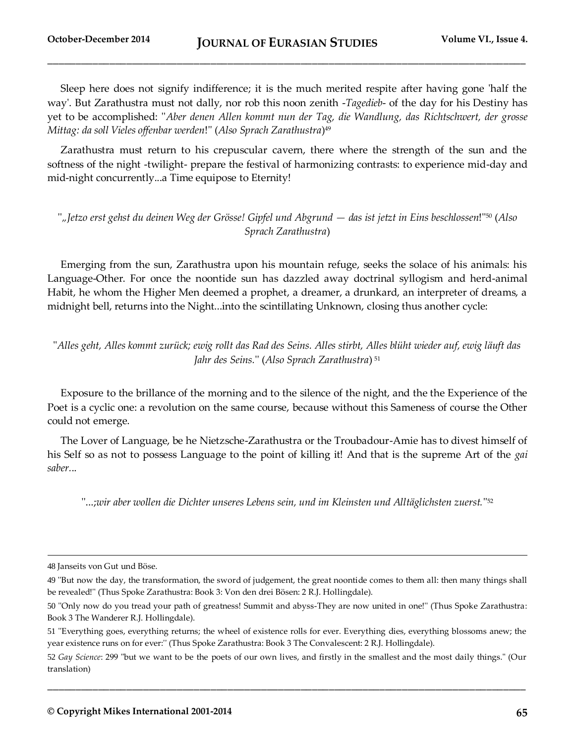Sleep here does not signify indifference; it is the much merited respite after having gone 'half the way'. But Zarathustra must not dally, nor rob this noon zenith -*Tagedieb*- of the day for his Destiny has yet to be accomplished: ''*Aber denen Allen kommt nun der Tag, die Wandlung, das Richtschwert, der grosse Mittag: da soll Vieles offenbar werden*!'' (*Also Sprach Zarathustra*) 49

Zarathustra must return to his crepuscular cavern, there where the strength of the sun and the softness of the night -twilight- prepare the festival of harmonizing contrasts: to experience mid-day and mid-night concurrently...a Time equipose to Eternity!

''*"Jetzo erst gehst du deinen Weg der Grösse! Gipfel und Abgrund — das ist jetzt in Eins beschlossen*!''<sup>50</sup> (*Also Sprach Zarathustra*)

Emerging from the sun, Zarathustra upon his mountain refuge, seeks the solace of his animals: his Language-Other. For once the noontide sun has dazzled away doctrinal syllogism and herd-animal Habit, he whom the Higher Men deemed a prophet, a dreamer, a drunkard, an interpreter of dreams, a midnight bell, returns into the Night...into the scintillating Unknown, closing thus another cycle:

''*Alles geht, Alles kommt zurück; ewig rollt das Rad des Seins. Alles stirbt, Alles blüht wieder auf, ewig läuft das Jahr des Seins.*'' (*Also Sprach Zarathustra*) <sup>51</sup>

Exposure to the brillance of the morning and to the silence of the night, and the the Experience of the Poet is a cyclic one: a revolution on the same course, because without this Sameness of course the Other could not emerge.

The Lover of Language, be he Nietzsche-Zarathustra or the Troubadour-Amie has to divest himself of his Self so as not to possess Language to the point of killing it! And that is the supreme Art of the *gai saber.*..

''...;*wir aber wollen die Dichter unseres Lebens sein, und im Kleinsten und Alltäglichsten zuerst.*'' 52

 $\overline{a}$ 

<sup>48</sup> Janseits von Gut und Böse.

<sup>49</sup> ''But now the day, the transformation, the sword of judgement, the great noontide comes to them all: then many things shall be revealed!'' (Thus Spoke Zarathustra: Book 3: Von den drei Bösen: 2 R.J. Hollingdale).

<sup>50</sup> ''Only now do you tread your path of greatness! Summit and abyss-They are now united in one!'' (Thus Spoke Zarathustra: Book 3 The Wanderer R.J. Hollingdale).

<sup>51</sup> ''Everything goes, everything returns; the wheel of existence rolls for ever. Everything dies, everything blossoms anew; the year existence runs on for ever:'' (Thus Spoke Zarathustra: Book 3 The Convalescent: 2 R.J. Hollingdale).

<sup>52</sup> *Gay Science*: 299 "but we want to be the poets of our own lives, and firstly in the smallest and the most daily things." (Our translation)